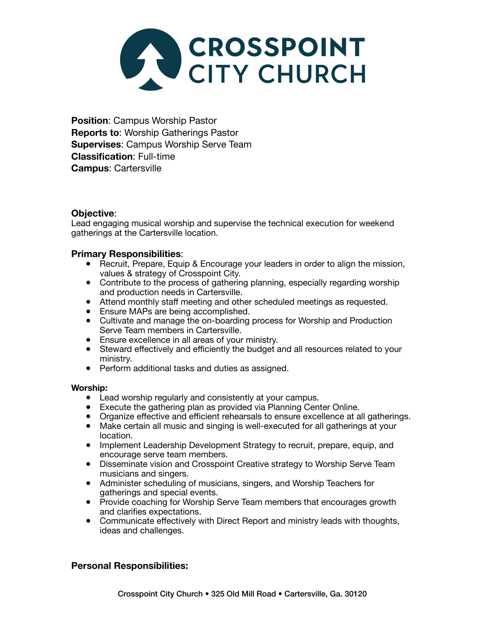

**Position**: Campus Worship Pastor **Reports to**: Worship Gatherings Pastor **Supervises**: Campus Worship Serve Team **Classification**: Full-time **Campus**: Cartersville

# **Objective**:

Lead engaging musical worship and supervise the technical execution for weekend gatherings at the Cartersville location.

# **Primary Responsibilities**:

- Recruit, Prepare, Equip & Encourage your leaders in order to align the mission, values & strategy of Crosspoint City.
- Contribute to the process of gathering planning, especially regarding worship and production needs in Cartersville.
- and production needs in Gartersville.<br>● Attend monthly staff meeting and other scheduled meetings as requested.
- Ensure MAPs are being accomplished.
- Cultivate and manage the on-boarding process for Worship and Production Serve Team members in Cartersville.
- erve ream members in Cartersville.<br>• Ensure excellence in all areas of your ministry.
- Steward effectively and efficiently the budget and all resources related to your ministry.
- Perform additional tasks and duties as assigned.

### **Worship:**

- Lead worship regularly and consistently at your campus.
- Execute the gathering plan as provided via Planning Center Online.
- Organize effective and efficient rehearsals to ensure excellence at all gatherings.
- Make certain all music and singing is well-executed for all gatherings at your location.
- Implement Leadership Development Strategy to recruit, prepare, equip, and encourage serve team members.
- Disseminate vision and Crosspoint Creative strategy to Worship Serve Team musicians and singers.
- Administer scheduling of musicians, singers, and Worship Teachers for gatherings and special events.
- Provide coaching for Worship Serve Team members that encourages growth and clarifies expectations.
- Communicate effectively with Direct Report and ministry leads with thoughts, ideas and challenges.

# **Personal Responsibilities:**